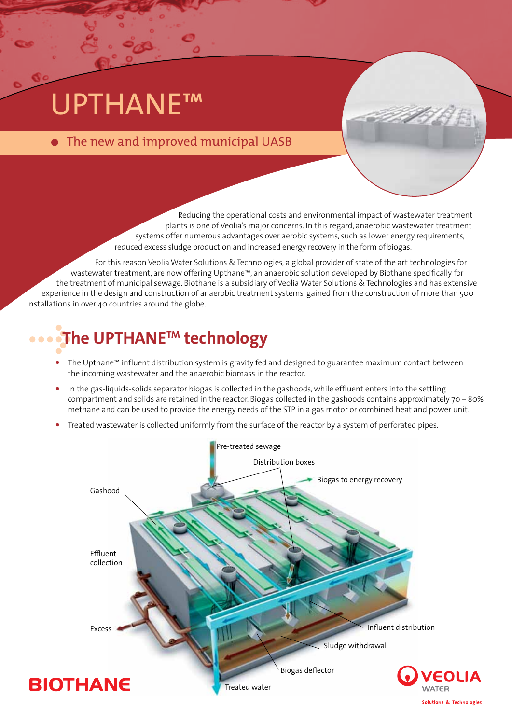# UPTHANE™

## • The new and improved municipal UASB

Reducing the operational costs and environmental impact of wastewater treatment plants is one of Veolia's major concerns. In this regard, anaerobic wastewater treatment systems offer numerous advantages over aerobic systems, such as lower energy requirements, reduced excess sludge production and increased energy recovery in the form of biogas.

For this reason Veolia Water Solutions & Technologies, a global provider of state of the art technologies for wastewater treatment, are now offering Upthane™, an anaerobic solution developed by Biothane specifically for the treatment of municipal sewage. Biothane is a subsidiary of Veolia Water Solutions & Technologies and has extensive experience in the design and construction of anaerobic treatment systems, gained from the construction of more than 500 installations in over 40 countries around the globe.

# **The UPTHANETM technology**

- The Upthane™ influent distribution system is gravity fed and designed to guarantee maximum contact between the incoming wastewater and the anaerobic biomass in the reactor.
- In the gas-liquids-solids separator biogas is collected in the gashoods, while effluent enters into the settling compartment and solids are retained in the reactor. Biogas collected in the gashoods contains approximately 70 – 80% methane and can be used to provide the energy needs of the STP in a gas motor or combined heat and power unit.
- Treated wastewater is collected uniformly from the surface of the reactor by a system of perforated pipes.